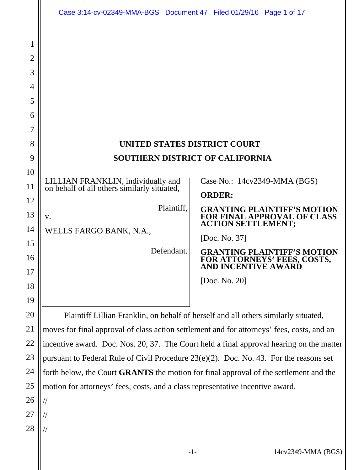|                                                                   | Case 3:14-cv-02349-MMA-BGS  Document 47  Filed 01/29/16  Page 1 of 17                                                                                                                                                                                                                                                                     |                                                                                                        |
|-------------------------------------------------------------------|-------------------------------------------------------------------------------------------------------------------------------------------------------------------------------------------------------------------------------------------------------------------------------------------------------------------------------------------|--------------------------------------------------------------------------------------------------------|
| 1<br>2<br>3<br>4<br>5<br>6<br>7<br>8<br>9<br>10<br>11<br>12<br>13 | <b>UNITED STATES DISTRICT COURT</b><br><b>SOUTHERN DISTRICT OF CALIFORNIA</b><br>Case No.: 14cv2349-MMA (BGS)<br>LILLIAN FRANKLIN, individually and<br>on behalf of all others similarly situated,<br><b>ORDER:</b><br>Plaintiff,<br><b>GRANTING PLAINTIFF'S MOTION</b><br>FOR FINAL APPROVAL OF CLASS<br>V.<br><b>ACTION SETTLEMENT;</b> |                                                                                                        |
| 14<br>15<br>16                                                    | WELLS FARGO BANK, N.A.,<br>Defendant.                                                                                                                                                                                                                                                                                                     | [Doc. No. 37]<br><b>GRANTING PLAINTIFF'S MOTION</b><br>FOR ATTORNEYS' FEES, COSTS, AND INCENTIVE AWARD |
| 17<br>18<br>19                                                    |                                                                                                                                                                                                                                                                                                                                           | [Doc. No. 20]                                                                                          |
| 20                                                                | Plaintiff Lillian Franklin, on behalf of herself and all others similarly situated,                                                                                                                                                                                                                                                       |                                                                                                        |
| 21                                                                | moves for final approval of class action settlement and for attorneys' fees, costs, and an                                                                                                                                                                                                                                                |                                                                                                        |
| 22                                                                | incentive award. Doc. Nos. 20, 37. The Court held a final approval hearing on the matter                                                                                                                                                                                                                                                  |                                                                                                        |
| 23                                                                | pursuant to Federal Rule of Civil Procedure $23(e)(2)$ . Doc. No. 43. For the reasons set                                                                                                                                                                                                                                                 |                                                                                                        |
| 24                                                                | forth below, the Court <b>GRANTS</b> the motion for final approval of the settlement and the                                                                                                                                                                                                                                              |                                                                                                        |
| 25                                                                | motion for attorneys' fees, costs, and a class representative incentive award.                                                                                                                                                                                                                                                            |                                                                                                        |
| 26                                                                |                                                                                                                                                                                                                                                                                                                                           |                                                                                                        |
| 27<br>28                                                          |                                                                                                                                                                                                                                                                                                                                           |                                                                                                        |
|                                                                   |                                                                                                                                                                                                                                                                                                                                           |                                                                                                        |
|                                                                   |                                                                                                                                                                                                                                                                                                                                           |                                                                                                        |

-1- 14cv2349-MMA (BGS)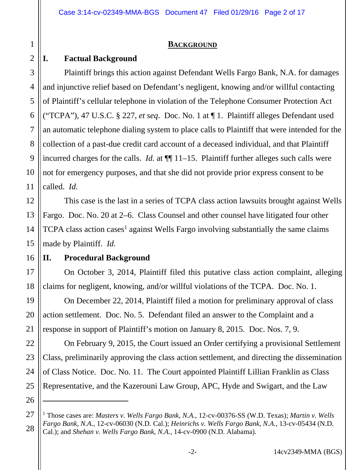#### **BACKGROUND**

## **I. Factual Background**

1

2

3

4

5

6

7

8

9

10

11

12

13

14

15

17

18

19

20

21

22

23

24

25

26

Plaintiff brings this action against Defendant Wells Fargo Bank, N.A. for damages and injunctive relief based on Defendant's negligent, knowing and/or willful contacting of Plaintiff's cellular telephone in violation of the Telephone Consumer Protection Act ("TCPA"), 47 U.S.C. § 227, *et seq*. Doc. No. 1 at ¶ 1. Plaintiff alleges Defendant used an automatic telephone dialing system to place calls to Plaintiff that were intended for the collection of a past-due credit card account of a deceased individual, and that Plaintiff incurred charges for the calls. *Id.* at  $\P$  11–15. Plaintiff further alleges such calls were not for emergency purposes, and that she did not provide prior express consent to be called. *Id.* 

This case is the last in a series of TCPA class action lawsuits brought against Wells Fargo. Doc. No. 20 at 2–6. Class Counsel and other counsel have litigated four other TCPA class action cases<sup>1</sup> against Wells Fargo involving substantially the same claims made by Plaintiff. *Id.*

#### 16 **II. Procedural Background**

On October 3, 2014, Plaintiff filed this putative class action complaint, alleging claims for negligent, knowing, and/or willful violations of the TCPA. Doc. No. 1.

 On December 22, 2014, Plaintiff filed a motion for preliminary approval of class action settlement. Doc. No. 5. Defendant filed an answer to the Complaint and a response in support of Plaintiff's motion on January 8, 2015. Doc. Nos. 7, 9.

 On February 9, 2015, the Court issued an Order certifying a provisional Settlement Class, preliminarily approving the class action settlement, and directing the dissemination of Class Notice. Doc. No. 11. The Court appointed Plaintiff Lillian Franklin as Class Representative, and the Kazerouni Law Group, APC, Hyde and Swigart, and the Law

<sup>27</sup> 28 <sup>1</sup> Those cases are: *Masters v. Wells Fargo Bank, N.A.*, 12-cv-00376-SS (W.D. Texas); *Martin v. Wells Fargo Bank, N.A.*, 12-cv-06030 (N.D. Cal.); *Heinrichs v. Wells Fargo Bank, N.A.*, 13-cv-05434 (N.D. Cal.); and *Shehan v. Wells Fargo Bank, N.A.*, 14-cv-0900 (N.D. Alabama).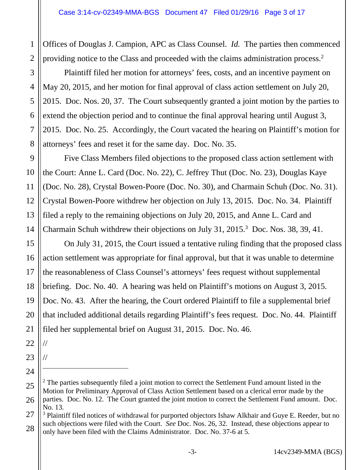1 2 Offices of Douglas J. Campion, APC as Class Counsel. *Id.* The parties then commenced providing notice to the Class and proceeded with the claims administration process.<sup>2</sup>

 Plaintiff filed her motion for attorneys' fees, costs, and an incentive payment on May 20, 2015, and her motion for final approval of class action settlement on July 20, 2015. Doc. Nos. 20, 37. The Court subsequently granted a joint motion by the parties to extend the objection period and to continue the final approval hearing until August 3, 2015. Doc. No. 25. Accordingly, the Court vacated the hearing on Plaintiff's motion for attorneys' fees and reset it for the same day. Doc. No. 35.

 Five Class Members filed objections to the proposed class action settlement with the Court: Anne L. Card (Doc. No. 22), C. Jeffrey Thut (Doc. No. 23), Douglas Kaye (Doc. No. 28), Crystal Bowen-Poore (Doc. No. 30), and Charmain Schuh (Doc. No. 31). Crystal Bowen-Poore withdrew her objection on July 13, 2015. Doc. No. 34. Plaintiff filed a reply to the remaining objections on July 20, 2015, and Anne L. Card and Charmain Schuh withdrew their objections on July 31, 2015.<sup>3</sup> Doc. Nos. 38, 39, 41.

16 On July 31, 2015, the Court issued a tentative ruling finding that the proposed class action settlement was appropriate for final approval, but that it was unable to determine the reasonableness of Class Counsel's attorneys' fees request without supplemental briefing. Doc. No. 40. A hearing was held on Plaintiff's motions on August 3, 2015. Doc. No. 43. After the hearing, the Court ordered Plaintiff to file a supplemental brief that included additional details regarding Plaintiff's fees request. Doc. No. 44. Plaintiff filed her supplemental brief on August 31, 2015. Doc. No. 46.

22

//

//

23

24

3

4

5

6

7

8

9

10

11

12

13

14

15

17

18

19

20

21

<sup>25</sup> 26  $2$  The parties subsequently filed a joint motion to correct the Settlement Fund amount listed in the Motion for Preliminary Approval of Class Action Settlement based on a clerical error made by the parties. Doc. No. 12. The Court granted the joint motion to correct the Settlement Fund amount. Doc. No. 13.

<sup>27</sup> 28 <sup>3</sup> Plaintiff filed notices of withdrawal for purported objectors Ishaw Alkhair and Guye E. Reeder, but no such objections were filed with the Court. *See* Doc. Nos. 26, 32. Instead, these objections appear to only have been filed with the Claims Administrator. Doc. No. 37-6 at 5.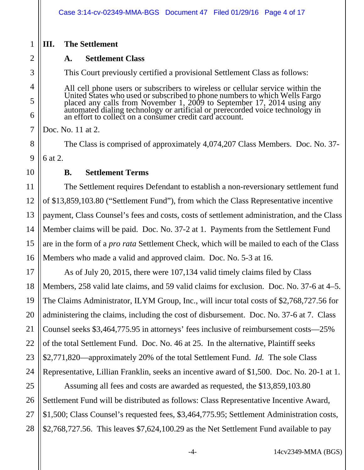## **III. The Settlement**

1

2

3

4

5

6

7

8

9

10

11

12

13

14

15

16

21

## **A. Settlement Class**

This Court previously certified a provisional Settlement Class as follows:

All cell phone users or subscribers to wireless or cellular service within the All cell phone users of subscribers to wheless of central service whill the<br>United States who used or subscribed to phone numbers to which Wells Fargo<br>placed any calls from November 1, 2009 to September 17, 2014 using any<br>

Doc. No. 11 at 2.

The Class is comprised of approximately 4,074,207 Class Members. Doc. No. 37- 6 at 2.

## **B. Settlement Terms**

The Settlement requires Defendant to establish a non-reversionary settlement fund of \$13,859,103.80 ("Settlement Fund"), from which the Class Representative incentive payment, Class Counsel's fees and costs, costs of settlement administration, and the Class Member claims will be paid. Doc. No. 37-2 at 1. Payments from the Settlement Fund are in the form of a *pro rata* Settlement Check, which will be mailed to each of the Class Members who made a valid and approved claim. Doc. No. 5-3 at 16.

17 18 19 20 22 23 24 As of July 20, 2015, there were 107,134 valid timely claims filed by Class Members, 258 valid late claims, and 59 valid claims for exclusion. Doc. No. 37-6 at 4–5. The Claims Administrator, ILYM Group, Inc., will incur total costs of \$2,768,727.56 for administering the claims, including the cost of disbursement. Doc. No. 37-6 at 7. Class Counsel seeks \$3,464,775.95 in attorneys' fees inclusive of reimbursement costs—25% of the total Settlement Fund. Doc. No. 46 at 25. In the alternative, Plaintiff seeks \$2,771,820—approximately 20% of the total Settlement Fund. *Id.* The sole Class Representative, Lillian Franklin, seeks an incentive award of \$1,500. Doc. No. 20-1 at 1.

25 26 27 28 Assuming all fees and costs are awarded as requested, the \$13,859,103.80 Settlement Fund will be distributed as follows: Class Representative Incentive Award, \$1,500; Class Counsel's requested fees, \$3,464,775.95; Settlement Administration costs, \$2,768,727.56. This leaves \$7,624,100.29 as the Net Settlement Fund available to pay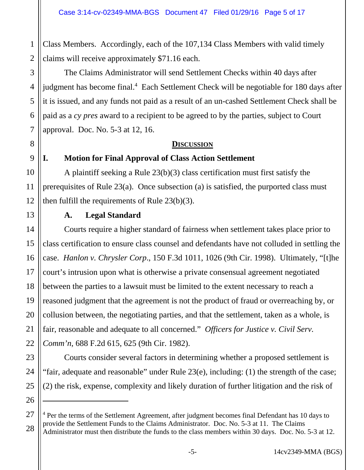1 2 Class Members. Accordingly, each of the 107,134 Class Members with valid timely claims will receive approximately \$71.16 each.

The Claims Administrator will send Settlement Checks within 40 days after judgment has become final.<sup>4</sup> Each Settlement Check will be negotiable for 180 days after it is issued, and any funds not paid as a result of an un-cashed Settlement Check shall be paid as a *cy pres* award to a recipient to be agreed to by the parties, subject to Court approval. Doc. No. 5-3 at 12, 16.

#### **DISCUSSION**

#### 9

3

4

5

6

7

8

10

11

12

13

14

15

17

18

19

20

21

22

23

24

25

26

## **I. Motion for Final Approval of Class Action Settlement**

A plaintiff seeking a Rule 23(b)(3) class certification must first satisfy the prerequisites of Rule 23(a). Once subsection (a) is satisfied, the purported class must then fulfill the requirements of Rule 23(b)(3).

# **A. Legal Standard**

16 Courts require a higher standard of fairness when settlement takes place prior to class certification to ensure class counsel and defendants have not colluded in settling the case. *Hanlon v. Chrysler Corp*., 150 F.3d 1011, 1026 (9th Cir. 1998). Ultimately, "[t]he court's intrusion upon what is otherwise a private consensual agreement negotiated between the parties to a lawsuit must be limited to the extent necessary to reach a reasoned judgment that the agreement is not the product of fraud or overreaching by, or collusion between, the negotiating parties, and that the settlement, taken as a whole, is fair, reasonable and adequate to all concerned." *Officers for Justice v. Civil Serv. Comm'n*, 688 F.2d 615, 625 (9th Cir. 1982).

Courts consider several factors in determining whether a proposed settlement is "fair, adequate and reasonable" under Rule 23(e), including: (1) the strength of the case; (2) the risk, expense, complexity and likely duration of further litigation and the risk of

<sup>27</sup> 28 <sup>4</sup> Per the terms of the Settlement Agreement, after judgment becomes final Defendant has 10 days to provide the Settlement Funds to the Claims Administrator. Doc. No. 5-3 at 11. The Claims Administrator must then distribute the funds to the class members within 30 days. Doc. No. 5-3 at 12.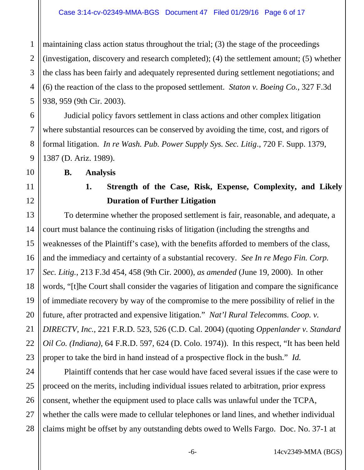1 2 3 4 5 maintaining class action status throughout the trial; (3) the stage of the proceedings (investigation, discovery and research completed); (4) the settlement amount; (5) whether the class has been fairly and adequately represented during settlement negotiations; and (6) the reaction of the class to the proposed settlement. *Staton v. Boeing Co.*, 327 F.3d 938, 959 (9th Cir. 2003).

 Judicial policy favors settlement in class actions and other complex litigation where substantial resources can be conserved by avoiding the time, cost, and rigors of formal litigation. *In re Wash. Pub. Power Supply Sys. Sec. Litig*., 720 F. Supp. 1379, 1387 (D. Ariz. 1989).

**B. Analysis** 

6

7

8

9

10

11

12

13

14

15

16

17

18

19

20

21

22

23

# **1. Strength of the Case, Risk, Expense, Complexity, and Likely Duration of Further Litigation**

To determine whether the proposed settlement is fair, reasonable, and adequate, a court must balance the continuing risks of litigation (including the strengths and weaknesses of the Plaintiff's case), with the benefits afforded to members of the class, and the immediacy and certainty of a substantial recovery. *See In re Mego Fin. Corp. Sec. Litig.*, 213 F.3d 454, 458 (9th Cir. 2000), *as amended* (June 19, 2000). In other words, "[t]he Court shall consider the vagaries of litigation and compare the significance of immediate recovery by way of the compromise to the mere possibility of relief in the future, after protracted and expensive litigation." *Nat'l Rural Telecomms. Coop. v. DIRECTV, Inc.*, 221 F.R.D. 523, 526 (C.D. Cal. 2004) (quoting *Oppenlander v. Standard Oil Co. (Indiana)*, 64 F.R.D. 597, 624 (D. Colo. 1974)). In this respect, "It has been held proper to take the bird in hand instead of a prospective flock in the bush." *Id.* 

24 25 26 27 28 Plaintiff contends that her case would have faced several issues if the case were to proceed on the merits, including individual issues related to arbitration, prior express consent, whether the equipment used to place calls was unlawful under the TCPA, whether the calls were made to cellular telephones or land lines, and whether individual claims might be offset by any outstanding debts owed to Wells Fargo. Doc. No. 37-1 at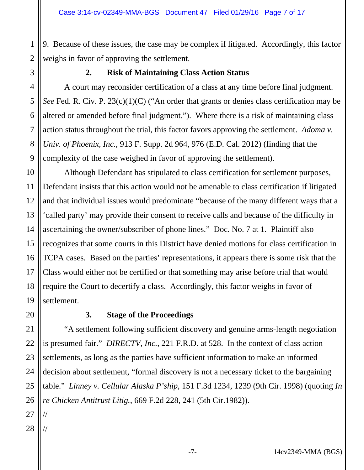2 9. Because of these issues, the case may be complex if litigated. Accordingly, this factor weighs in favor of approving the settlement.

1

3

4

5

6

7

8

9

#### **2. Risk of Maintaining Class Action Status**

A court may reconsider certification of a class at any time before final judgment. *See* Fed. R. Civ. P. 23(c)(1)(C) ("An order that grants or denies class certification may be altered or amended before final judgment."). Where there is a risk of maintaining class action status throughout the trial, this factor favors approving the settlement. *Adoma v. Univ. of Phoenix, Inc.*, 913 F. Supp. 2d 964, 976 (E.D. Cal. 2012) (finding that the complexity of the case weighed in favor of approving the settlement).

10 11 12 13 14 15 16 17 18 19 Although Defendant has stipulated to class certification for settlement purposes, Defendant insists that this action would not be amenable to class certification if litigated and that individual issues would predominate "because of the many different ways that a 'called party' may provide their consent to receive calls and because of the difficulty in ascertaining the owner/subscriber of phone lines." Doc. No. 7 at 1. Plaintiff also recognizes that some courts in this District have denied motions for class certification in TCPA cases. Based on the parties' representations, it appears there is some risk that the Class would either not be certified or that something may arise before trial that would require the Court to decertify a class. Accordingly, this factor weighs in favor of settlement.

20

## **3. Stage of the Proceedings**

21 22 23 24 25 26 "A settlement following sufficient discovery and genuine arms-length negotiation is presumed fair." *DIRECTV, Inc.*, 221 F.R.D. at 528. In the context of class action settlements, as long as the parties have sufficient information to make an informed decision about settlement, "formal discovery is not a necessary ticket to the bargaining table." *Linney v. Cellular Alaska P'ship*, 151 F.3d 1234, 1239 (9th Cir. 1998) (quoting *In re Chicken Antitrust Litig.*, 669 F.2d 228, 241 (5th Cir.1982)).

- 27
- 28 //

//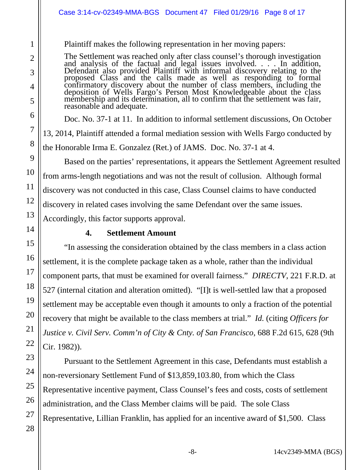#### Case 3:14-cv-02349-MMA-BGS Document 47 Filed 01/29/16 Page 8 of 17

Plaintiff makes the following representation in her moving papers:

The Settlement was reached only after class counsel's thorough investigation and analysis of the factual and legal issues involved. . . . In addition, Defendant also provided Plaintiff with informal discovery relating to the proposed Class and the calls made as well as responding to formal confirmatory discovery about the number of class members, including the deposition of Wells Fargo's Person Most Knowledgeable about the class membership and its determination, all to confirm that the settlement was fair, membership and its determination, all to confirm that the settlement was fair, reasonable and adequate.

Doc. No. 37-1 at 11. In addition to informal settlement discussions, On October 13, 2014, Plaintiff attended a formal mediation session with Wells Fargo conducted by the Honorable Irma E. Gonzalez (Ret.) of JAMS. Doc. No. 37-1 at 4.

Based on the parties' representations, it appears the Settlement Agreement resulted from arms-length negotiations and was not the result of collusion. Although formal discovery was not conducted in this case, Class Counsel claims to have conducted discovery in related cases involving the same Defendant over the same issues. Accordingly, this factor supports approval.

#### **4. Settlement Amount**

"In assessing the consideration obtained by the class members in a class action settlement, it is the complete package taken as a whole, rather than the individual component parts, that must be examined for overall fairness." *DIRECTV*, 221 F.R.D. at 527 (internal citation and alteration omitted). "[I]t is well-settled law that a proposed settlement may be acceptable even though it amounts to only a fraction of the potential recovery that might be available to the class members at trial." *Id.* (citing *Officers for Justice v. Civil Serv. Comm'n of City & Cnty. of San Francisco*, 688 F.2d 615, 628 (9th Cir. 1982)).

 Pursuant to the Settlement Agreement in this case, Defendants must establish a non-reversionary Settlement Fund of \$13,859,103.80, from which the Class Representative incentive payment, Class Counsel's fees and costs, costs of settlement administration, and the Class Member claims will be paid. The sole Class Representative, Lillian Franklin, has applied for an incentive award of \$1,500. Class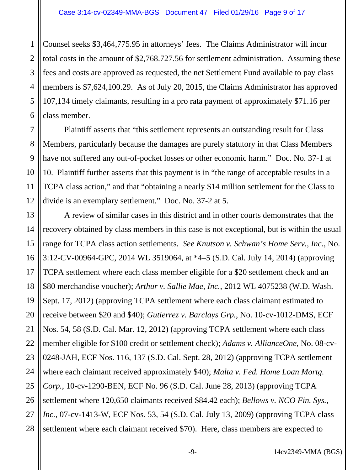1 2 3 4 5 6 Counsel seeks \$3,464,775.95 in attorneys' fees. The Claims Administrator will incur total costs in the amount of \$2,768.727.56 for settlement administration. Assuming these fees and costs are approved as requested, the net Settlement Fund available to pay class members is \$7,624,100.29. As of July 20, 2015, the Claims Administrator has approved 107,134 timely claimants, resulting in a pro rata payment of approximately \$71.16 per class member.

 Plaintiff asserts that "this settlement represents an outstanding result for Class Members, particularly because the damages are purely statutory in that Class Members have not suffered any out-of-pocket losses or other economic harm." Doc. No. 37-1 at 10. Plaintiff further asserts that this payment is in "the range of acceptable results in a TCPA class action," and that "obtaining a nearly \$14 million settlement for the Class to divide is an exemplary settlement." Doc. No. 37-2 at 5.

7

8

9

10

11

12

13 14 15 16 17 18 19 20 21 22 23 24 25 26 27 28 A review of similar cases in this district and in other courts demonstrates that the recovery obtained by class members in this case is not exceptional, but is within the usual range for TCPA class action settlements. *See Knutson v. Schwan's Home Serv., Inc*., No. 3:12-CV-00964-GPC, 2014 WL 3519064, at \*4–5 (S.D. Cal. July 14, 2014) (approving TCPA settlement where each class member eligible for a \$20 settlement check and an \$80 merchandise voucher); *Arthur v. Sallie Mae, Inc.*, 2012 WL 4075238 (W.D. Wash. Sept. 17, 2012) (approving TCPA settlement where each class claimant estimated to receive between \$20 and \$40); *Gutierrez v. Barclays Grp.*, No. 10-cv-1012-DMS, ECF Nos. 54, 58 (S.D. Cal. Mar. 12, 2012) (approving TCPA settlement where each class member eligible for \$100 credit or settlement check); *Adams v. AllianceOne*, No. 08-cv-0248-JAH, ECF Nos. 116, 137 (S.D. Cal. Sept. 28, 2012) (approving TCPA settlement where each claimant received approximately \$40); *Malta v. Fed. Home Loan Mortg. Corp.*, 10-cv-1290-BEN, ECF No. 96 (S.D. Cal. June 28, 2013) (approving TCPA settlement where 120,650 claimants received \$84.42 each); *Bellows v. NCO Fin. Sys., Inc.*, 07-cv-1413-W, ECF Nos. 53, 54 (S.D. Cal. July 13, 2009) (approving TCPA class settlement where each claimant received \$70). Here, class members are expected to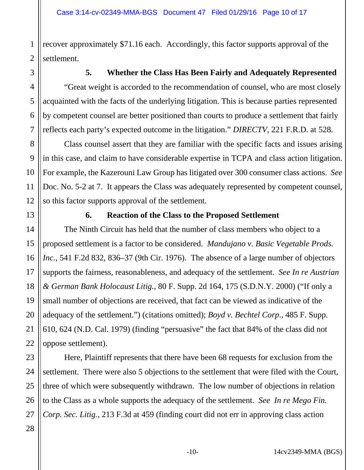1 2 recover approximately \$71.16 each. Accordingly, this factor supports approval of the settlement.

3

4

5

6

7

8

9

10

11

12

### **5. Whether the Class Has Been Fairly and Adequately Represented**

"Great weight is accorded to the recommendation of counsel, who are most closely acquainted with the facts of the underlying litigation. This is because parties represented by competent counsel are better positioned than courts to produce a settlement that fairly reflects each party's expected outcome in the litigation." *DIRECTV*, 221 F.R.D. at 528.

Class counsel assert that they are familiar with the specific facts and issues arising in this case, and claim to have considerable expertise in TCPA and class action litigation. For example, the Kazerouni Law Group has litigated over 300 consumer class actions. *See*  Doc. No. 5-2 at 7. It appears the Class was adequately represented by competent counsel, so this factor supports approval of the settlement.

#### **6. Reaction of the Class to the Proposed Settlement**

The Ninth Circuit has held that the number of class members who object to a proposed settlement is a factor to be considered. *Mandujano v. Basic Vegetable Prods. Inc.*, 541 F.2d 832, 836–37 (9th Cir. 1976). The absence of a large number of objectors supports the fairness, reasonableness, and adequacy of the settlement. *See In re Austrian & German Bank Holocaust Litig.*, 80 F. Supp. 2d 164, 175 (S.D.N.Y. 2000) ("If only a small number of objections are received, that fact can be viewed as indicative of the adequacy of the settlement.") (citations omitted); *Boyd v. Bechtel Corp*., 485 F. Supp. 610, 624 (N.D. Cal. 1979) (finding "persuasive" the fact that 84% of the class did not oppose settlement).

 Here, Plaintiff represents that there have been 68 requests for exclusion from the settlement. There were also 5 objections to the settlement that were filed with the Court, three of which were subsequently withdrawn. The low number of objections in relation to the Class as a whole supports the adequacy of the settlement. *See In re Mego Fin. Corp. Sec. Litig.*, 213 F.3d at 459 (finding court did not err in approving class action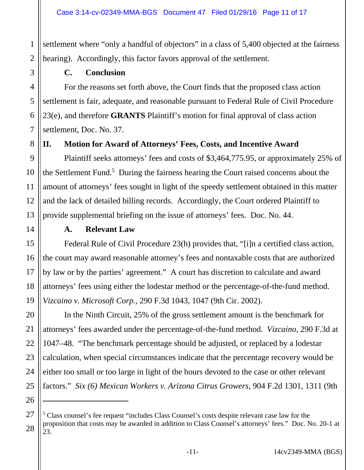settlement where "only a handful of objectors" in a class of 5,400 objected at the fairness hearing). Accordingly, this factor favors approval of the settlement.

1

#### **C. Conclusion**

 For the reasons set forth above, the Court finds that the proposed class action settlement is fair, adequate, and reasonable pursuant to Federal Rule of Civil Procedure 23(e), and therefore **GRANTS** Plaintiff's motion for final approval of class action settlement, Doc. No. 37.

### **II. Motion for Award of Attorneys' Fees, Costs, and Incentive Award**

Plaintiff seeks attorneys' fees and costs of \$3,464,775.95, or approximately 25% of the Settlement Fund.<sup>5</sup> During the fairness hearing the Court raised concerns about the amount of attorneys' fees sought in light of the speedy settlement obtained in this matter and the lack of detailed billing records. Accordingly, the Court ordered Plaintiff to provide supplemental briefing on the issue of attorneys' fees. Doc. No. 44.

#### **A. Relevant Law**

Federal Rule of Civil Procedure 23(h) provides that, "[i]n a certified class action, the court may award reasonable attorney's fees and nontaxable costs that are authorized by law or by the parties' agreement." A court has discretion to calculate and award attorneys' fees using either the lodestar method or the percentage-of-the-fund method. *Vizcaino v. Microsoft Corp.*, 290 F.3d 1043, 1047 (9th Cir. 2002).

In the Ninth Circuit, 25% of the gross settlement amount is the benchmark for attorneys' fees awarded under the percentage-of-the-fund method. *Vizcaino*, 290 F.3d at 1047–48. "The benchmark percentage should be adjusted, or replaced by a lodestar calculation, when special circumstances indicate that the percentage recovery would be either too small or too large in light of the hours devoted to the case or other relevant factors." *Six (6) Mexican Workers v. Arizona Citrus Growers*, 904 F.2d 1301, 1311 (9th

<sup>27</sup> 28 <sup>5</sup> Class counsel's fee request "includes Class Counsel's costs despite relevant case law for the proposition that costs may be awarded in addition to Class Counsel's attorneys' fees." Doc. No. 20-1 at 23.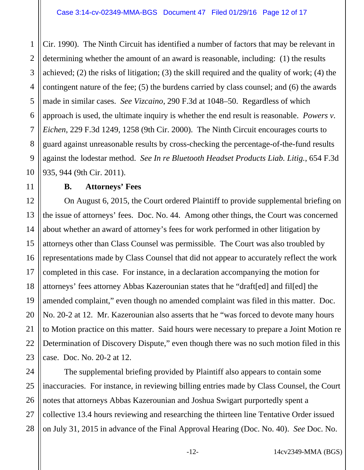1 2 3 4 5 6 7 8 9 10 Cir. 1990). The Ninth Circuit has identified a number of factors that may be relevant in determining whether the amount of an award is reasonable, including: (1) the results achieved; (2) the risks of litigation; (3) the skill required and the quality of work; (4) the contingent nature of the fee; (5) the burdens carried by class counsel; and (6) the awards made in similar cases. *See Vizcaino*, 290 F.3d at 1048–50. Regardless of which approach is used, the ultimate inquiry is whether the end result is reasonable. *Powers v. Eichen*, 229 F.3d 1249, 1258 (9th Cir. 2000). The Ninth Circuit encourages courts to guard against unreasonable results by cross-checking the percentage-of-the-fund results against the lodestar method. *See In re Bluetooth Headset Products Liab. Litig.*, 654 F.3d 935, 944 (9th Cir. 2011).

#### **B. Attorneys' Fees**

11

12 13 14 15 16 17 18 19 20 21 22 23 On August 6, 2015, the Court ordered Plaintiff to provide supplemental briefing on the issue of attorneys' fees. Doc. No. 44. Among other things, the Court was concerned about whether an award of attorney's fees for work performed in other litigation by attorneys other than Class Counsel was permissible. The Court was also troubled by representations made by Class Counsel that did not appear to accurately reflect the work completed in this case. For instance, in a declaration accompanying the motion for attorneys' fees attorney Abbas Kazerounian states that he "draft[ed] and fil[ed] the amended complaint," even though no amended complaint was filed in this matter. Doc. No. 20-2 at 12. Mr. Kazerounian also asserts that he "was forced to devote many hours to Motion practice on this matter. Said hours were necessary to prepare a Joint Motion re Determination of Discovery Dispute," even though there was no such motion filed in this case. Doc. No. 20-2 at 12.

24 25 26 27 28 The supplemental briefing provided by Plaintiff also appears to contain some inaccuracies. For instance, in reviewing billing entries made by Class Counsel, the Court notes that attorneys Abbas Kazerounian and Joshua Swigart purportedly spent a collective 13.4 hours reviewing and researching the thirteen line Tentative Order issued on July 31, 2015 in advance of the Final Approval Hearing (Doc. No. 40). *See* Doc. No.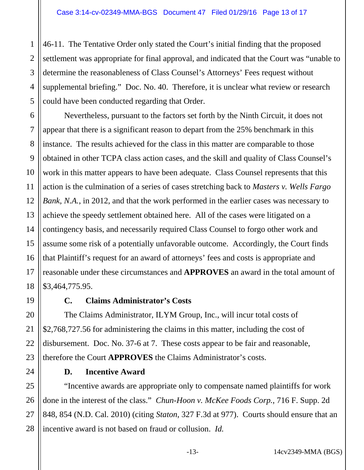1 2 3 4 5 46-11. The Tentative Order only stated the Court's initial finding that the proposed settlement was appropriate for final approval, and indicated that the Court was "unable to determine the reasonableness of Class Counsel's Attorneys' Fees request without supplemental briefing." Doc. No. 40. Therefore, it is unclear what review or research could have been conducted regarding that Order.

6 7 8 9 10 11 12 13 14 15 16 17 18 Nevertheless, pursuant to the factors set forth by the Ninth Circuit, it does not appear that there is a significant reason to depart from the 25% benchmark in this instance. The results achieved for the class in this matter are comparable to those obtained in other TCPA class action cases, and the skill and quality of Class Counsel's work in this matter appears to have been adequate. Class Counsel represents that this action is the culmination of a series of cases stretching back to *Masters v. Wells Fargo Bank, N.A.*, in 2012, and that the work performed in the earlier cases was necessary to achieve the speedy settlement obtained here. All of the cases were litigated on a contingency basis, and necessarily required Class Counsel to forgo other work and assume some risk of a potentially unfavorable outcome. Accordingly, the Court finds that Plaintiff's request for an award of attorneys' fees and costs is appropriate and reasonable under these circumstances and **APPROVES** an award in the total amount of \$3,464,775.95.

#### 19

20

21

22

23

24

## **C. Claims Administrator's Costs**

The Claims Administrator, ILYM Group, Inc., will incur total costs of \$2,768,727.56 for administering the claims in this matter, including the cost of disbursement. Doc. No. 37-6 at 7. These costs appear to be fair and reasonable, therefore the Court **APPROVES** the Claims Administrator's costs.

### **D. Incentive Award**

25 26 27 28 "Incentive awards are appropriate only to compensate named plaintiffs for work done in the interest of the class." *Chun-Hoon v. McKee Foods Corp.*, 716 F. Supp. 2d 848, 854 (N.D. Cal. 2010) (citing *Staton*, 327 F.3d at 977). Courts should ensure that an incentive award is not based on fraud or collusion. *Id.*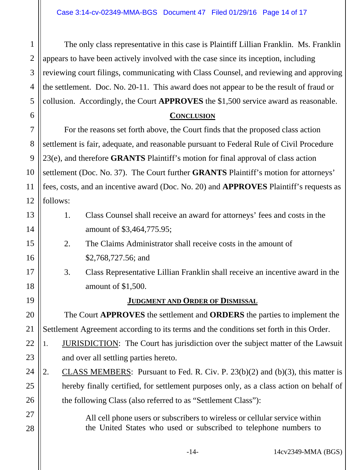1

6

7

8

9

10

11

12

13

14

15

16

17

18

19

20

21

27

28

2 3 4 5 The only class representative in this case is Plaintiff Lillian Franklin. Ms. Franklin appears to have been actively involved with the case since its inception, including reviewing court filings, communicating with Class Counsel, and reviewing and approving the settlement. Doc. No. 20-11. This award does not appear to be the result of fraud or collusion. Accordingly, the Court **APPROVES** the \$1,500 service award as reasonable.

#### **CONCLUSION**

 For the reasons set forth above, the Court finds that the proposed class action settlement is fair, adequate, and reasonable pursuant to Federal Rule of Civil Procedure 23(e), and therefore **GRANTS** Plaintiff's motion for final approval of class action settlement (Doc. No. 37). The Court further **GRANTS** Plaintiff's motion for attorneys' fees, costs, and an incentive award (Doc. No. 20) and **APPROVES** Plaintiff's requests as follows:

- 1. Class Counsel shall receive an award for attorneys' fees and costs in the amount of \$3,464,775.95;
- 2. The Claims Administrator shall receive costs in the amount of \$2,768,727.56; and
- 3. Class Representative Lillian Franklin shall receive an incentive award in the amount of \$1,500.

### **JUDGMENT AND ORDER OF DISMISSAL**

 The Court **APPROVES** the settlement and **ORDERS** the parties to implement the Settlement Agreement according to its terms and the conditions set forth in this Order.

- 22 23 1. JURISDICTION: The Court has jurisdiction over the subject matter of the Lawsuit and over all settling parties hereto.
- 24 25 26 2. CLASS MEMBERS: Pursuant to Fed. R. Civ. P. 23(b)(2) and (b)(3), this matter is hereby finally certified, for settlement purposes only, as a class action on behalf of the following Class (also referred to as "Settlement Class"):
	- All cell phone users or subscribers to wireless or cellular service within the United States who used or subscribed to telephone numbers to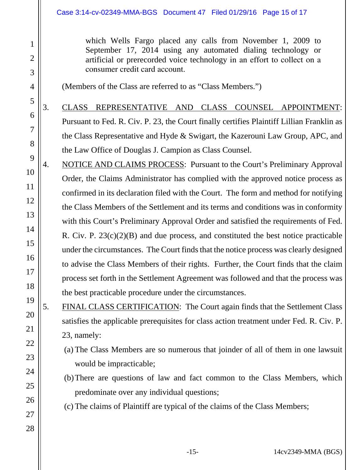which Wells Fargo placed any calls from November 1, 2009 to September 17, 2014 using any automated dialing technology or artificial or prerecorded voice technology in an effort to collect on a consumer credit card account.

(Members of the Class are referred to as "Class Members.")

1

2

3

4

5

6

7

8

20

21

22

23

24

25

26

27

28

3. CLASS REPRESENTATIVE AND CLASS COUNSEL APPOINTMENT: Pursuant to Fed. R. Civ. P. 23, the Court finally certifies Plaintiff Lillian Franklin as the Class Representative and Hyde & Swigart, the Kazerouni Law Group, APC, and the Law Office of Douglas J. Campion as Class Counsel.

- 9 10 11 12 13 14 15 16 17 18 19 4. NOTICE AND CLAIMS PROCESS: Pursuant to the Court's Preliminary Approval Order, the Claims Administrator has complied with the approved notice process as confirmed in its declaration filed with the Court. The form and method for notifying the Class Members of the Settlement and its terms and conditions was in conformity with this Court's Preliminary Approval Order and satisfied the requirements of Fed. R. Civ. P. 23(c)(2)(B) and due process, and constituted the best notice practicable under the circumstances. The Court finds that the notice process was clearly designed to advise the Class Members of their rights. Further, the Court finds that the claim process set forth in the Settlement Agreement was followed and that the process was the best practicable procedure under the circumstances.
	- 5. FINAL CLASS CERTIFICATION: The Court again finds that the Settlement Class satisfies the applicable prerequisites for class action treatment under Fed. R. Civ. P. 23, namely:
		- (a) The Class Members are so numerous that joinder of all of them in one lawsuit would be impracticable;
		- (b)There are questions of law and fact common to the Class Members, which predominate over any individual questions;

(c) The claims of Plaintiff are typical of the claims of the Class Members;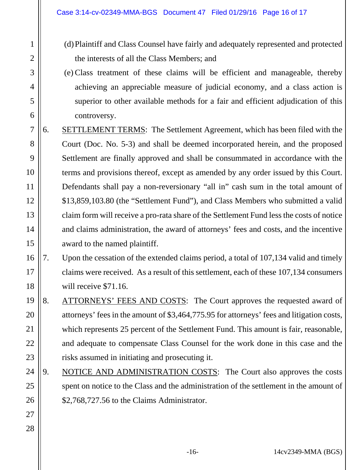1

2

3

4

5

6

27

28

- (d)Plaintiff and Class Counsel have fairly and adequately represented and protected the interests of all the Class Members; and
- (e) Class treatment of these claims will be efficient and manageable, thereby achieving an appreciable measure of judicial economy, and a class action is superior to other available methods for a fair and efficient adjudication of this controversy.
- 7 8 9 10 11 12 13 14 15 6. SETTLEMENT TERMS: The Settlement Agreement, which has been filed with the Court (Doc. No. 5-3) and shall be deemed incorporated herein, and the proposed Settlement are finally approved and shall be consummated in accordance with the terms and provisions thereof, except as amended by any order issued by this Court. Defendants shall pay a non-reversionary "all in" cash sum in the total amount of \$13,859,103.80 (the "Settlement Fund"), and Class Members who submitted a valid claim form will receive a pro-rata share of the Settlement Fund less the costs of notice and claims administration, the award of attorneys' fees and costs, and the incentive award to the named plaintiff.

#### 16 17 18 7. Upon the cessation of the extended claims period, a total of 107,134 valid and timely claims were received. As a result of this settlement, each of these 107,134 consumers will receive \$71.16.

- 19 20 21 22 23 8. ATTORNEYS' FEES AND COSTS: The Court approves the requested award of attorneys' fees in the amount of \$3,464,775.95 for attorneys' fees and litigation costs, which represents 25 percent of the Settlement Fund. This amount is fair, reasonable, and adequate to compensate Class Counsel for the work done in this case and the risks assumed in initiating and prosecuting it.
- 24 25 26 9. NOTICE AND ADMINISTRATION COSTS: The Court also approves the costs spent on notice to the Class and the administration of the settlement in the amount of \$2,768,727.56 to the Claims Administrator.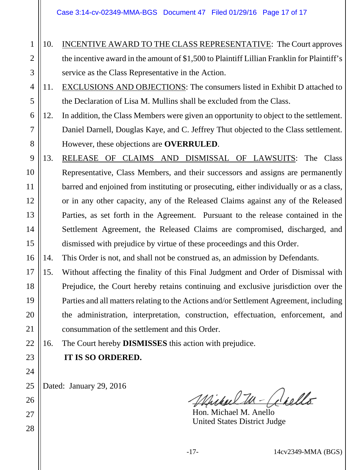- 1 2 3 10. INCENTIVE AWARD TO THE CLASS REPRESENTATIVE: The Court approves the incentive award in the amount of \$1,500 to Plaintiff Lillian Franklin for Plaintiff's service as the Class Representative in the Action.
- 4 5 11. EXCLUSIONS AND OBJECTIONS: The consumers listed in Exhibit D attached to the Declaration of Lisa M. Mullins shall be excluded from the Class.
- 6 7 8 12. In addition, the Class Members were given an opportunity to object to the settlement. Daniel Darnell, Douglas Kaye, and C. Jeffrey Thut objected to the Class settlement. However, these objections are **OVERRULED**.
- 9 10 11 12 13 14 15 13. RELEASE OF CLAIMS AND DISMISSAL OF LAWSUITS: The Class Representative, Class Members, and their successors and assigns are permanently barred and enjoined from instituting or prosecuting, either individually or as a class, or in any other capacity, any of the Released Claims against any of the Released Parties, as set forth in the Agreement. Pursuant to the release contained in the Settlement Agreement, the Released Claims are compromised, discharged, and dismissed with prejudice by virtue of these proceedings and this Order.
- 16 14. This Order is not, and shall not be construed as, an admission by Defendants.
- 17 18 19 20 21 15. Without affecting the finality of this Final Judgment and Order of Dismissal with Prejudice, the Court hereby retains continuing and exclusive jurisdiction over the Parties and all matters relating to the Actions and/or Settlement Agreement, including the administration, interpretation, construction, effectuation, enforcement, and consummation of the settlement and this Order.

16. The Court hereby **DISMISSES** this action with prejudice.

**IT IS SO ORDERED.**

22

23

24

25

26

27

28

Dated: January 29, 2016

Michael In-Chello

 Hon. Michael M. Anello United States District Judge